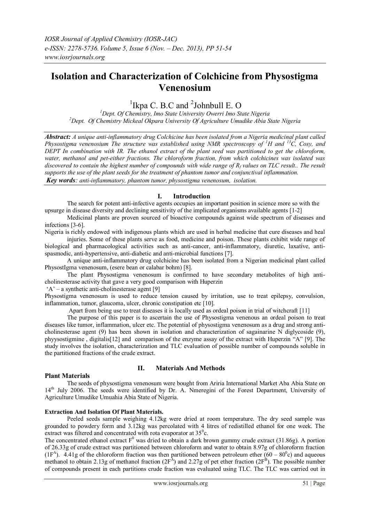# **Isolation and Characterization of Colchicine from Physostigma Venenosium**

<sup>1</sup>Ikpa C. B.C and  $2$ Johnbull E. O

*<sup>1</sup>Dept. Of Chemistry, Imo State University Owerri Imo State Nigeria <sup>2</sup>Dept. Of Chemistry Mickeal Okpara University Of Agriculture Umudike Abia State Nigeria*

*Abstract: A unique anti-inflammatory drug Colchicine has been isolated from a Nigeria medicinal plant called Physostigma venenosium The structure was established using NMR spectroscopy of <sup>1</sup>H and <sup>13</sup>C, Cosy, and DEPT In combination with IR. The ethanol extract of the plant seed was partitioned to get the chloroform, water, methanol and pet-either fractions. The chloroform fraction, from which colchicines was isolated was discovered to contain the highest number of compounds with wide range of R<sup>f</sup> values on TLC result.. The result supports the use of the plant seeds for the treatment of phantom tumor and conjunctival inflammation. Key words: anti-inflammatory, phantom tumor, physostigma venenosum, isolation.*

#### **I. Introduction**

The search for potent anti-infective agents occupies an important position in science more so with the upsurge in disease diversity and declining sensitivity of the implicated organisms available agents [1-2]

Medicinal plants are proven sourced of bioactive compounds against wide spectrum of diseases and infections [3-6].

Nigeria is richly endowed with indigenous plants which are used in herbal medicine that cure diseases and heal

injuries. Some of these plants serve as food, medicine and poison. These plants exhibit wide range of biological and pharmacological activities such as anti-cancer, anti-inflammatory, diuretic, laxative, antispasmodic, anti-hypertensive, anti-diabetic and anti-microbial functions [7].

A unique anti-inflammatory drug colchicine has been isolated from a Nigerian medicinal plant called PhysostIgma venenosum, (esere bean or calabar bohm) [8].

The plant Physostigma venenosum is confirmed to have secondary metabolites of high anticholinesterase activity that gave a very good comparison with Huperzin

 $A'$  – a synthetic anti-cholinesterase agent [9]

Physostigma venenosum is used to reduce tension caused by irritation, use to treat epilepsy, convulsion, inflammation, tumor, glaucoma, ulcer, chronic constipation etc [10].

Apart from being use to treat diseases it is locally used as ordeal poison in trial of witchcraft [11]

The purpose of this paper is to ascertain the use of Physostigma venenous an ordeal poison to treat diseases like tumor, inflammation, ulcer etc. The potential of physostigma venenosum as a drug and strong anticholinesterase agent (9) has been shown in isolation and characterization of sagainarine N diglycoside (9), phyysostigmine , digitalis[12] and comparison of the enzyme assay of the extract with Huperzin "A" [9]. The study involves the isolation, characterization and TLC evaluation of possible number of compounds soluble in the partitioned fractions of the crude extract.

## **Plant Materials**

## **II. Materials And Methods**

The seeds of physostigma venenosum were bought from Ariria International Market Aba Abia State on 14<sup>th</sup> July 2006. The seeds were identified by Dr. A. Nmeregini of the Forest Department, University of Agriculture Umudike Umuahia Abia State of Nigeria.

## **Extraction And Isolation Of Plant Materials.**

Peeled seeds sample weighing 4.12kg were dried at room temperature. The dry seed sample was grounded to powdery form and 3.12kg was percolated with 4 litres of redistilled ethanol for one week. The extract was filtered and concentrated with rota evaporator at  $35^{\circ}$ c.

The concentrated ethanol extract  $F^0$  was dried to obtain a dark brown gummy crude extract (31.86g). A portion of 26.33g of crude extract was partitioned between chloroform and water to obtain 8.97g of chloroform fraction  $(1F<sup>A</sup>)$ . 4.41g of the chloroform fraction was then partitioned between petroleum ether  $(60 - 80<sup>o</sup>c)$  and aqueous methanol to obtain 2.13g of methanol fraction  $(2F^A)$  and 2.27g of pet ether fraction  $(2F^B)$ . The possible number of compounds present in each partitions crude fraction was evaluated using TLC. The TLC was carried out in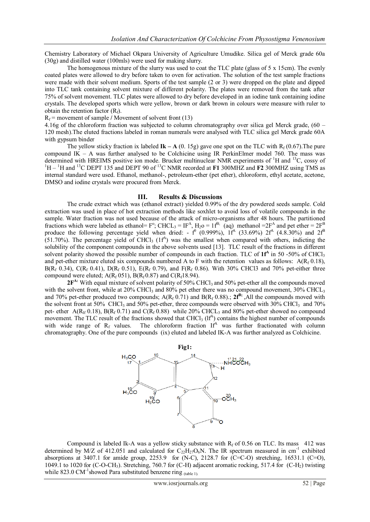Chemistry Laboratory of Michael Okpara University of Agriculture Umudike. Silica gel of Merck grade 60a (30g) and distilled water (100mls) were used for making slurry.

The homogenous mixture of the slurry was used to coat the TLC plate (glass of  $5 \times 15$ cm). The evenly coated plates were allowed to dry before taken to oven for activation. The solution of the test sample fractions were made with their solvent medium. Sports of the test sample (2 or 3) were dropped on the plate and dipped into TLC tank containing solvent mixture of different polarity. The plates were removed from the tank after 75% of solvent movement. TLC plates were allowed to dry before developed in an iodine tank containing iodine crystals. The developed sports which were yellow, brown or dark brown in colours were measure with ruler to obtain the retention factor  $(R_f)$ .

 $R_f$  = movement of sample / Movement of solvent front (13)

4.16g of the chloroform fraction was subjected to column chromatography over silica gel Merck grade, (60 – 120 mesh).The eluted fractions labeled in roman numerals were analysed with TLC silica gel Merck grade 60A with gypsum binder

The yellow sticky fraction ix labeled  $\mathbf{I} \mathbf{k} - \mathbf{A}$  (0. 15g) gave one spot on the TLC with  $R_f (0.67)$ . The pure compound IK – A was further analysed to be Colchicine using IR PerkinElmer model 760. The mass was determined with HREIMS positive ion mode. Brucker multinuclear NMR experiments of <sup>1</sup>H and <sup>13</sup>C, cossy of  ${}^{1}$ H –  ${}^{1}$ H and  ${}^{13}$ C DEPT 135 and DEPT 90 of  ${}^{13}$ C NMR recorded at **F1** 300MHZ and **F2** 300MHZ using TMS as internal standard were used. Ethanol, methanol-, petroleum-ether (pet ether), chloroform, ethyl acetate, acetone, DMSO and iodine crystals were procured from Merck.

#### **III. Results & Discussions**

The crude extract which was (ethanol extract) yielded 0.99% of the dry powdered seeds sample. Cold extraction was used in place of hot extraction methods like soxhlet to avoid loss of volatile compounds in the sample. Water fraction was not used because of the attack of micro-organisms after 48 hours. The partitioned fractions which were labeled as ethanol=  $F^{\circ}$ ; CHCL<sub>3</sub> = IF<sup>A</sup>, H<sub>2</sub>o = 1f<sup>B;</sup> (aq) methanol =  $2F^{\rm A}$  and pet ether =  $2F^{\rm B}$ produce the following percentage yield when dried:  $-f^0$  (0.999%),  $1f^A$  (33.69%)  $2f^A$  (4.8.30%) and  $2f^B$  $(51.70%)$ . The percentage yield of CHCl<sub>3</sub> (1f<sup>A</sup>) was the smallest when compared with others, indicting the solubility of the component compounds in the above solvents used [13]. TLC result of the fractions in different solvent polarity showed the possible number of compounds in each fraction. TLC of 1<sup>th</sup> in 50 -50% of CHCl<sub>3</sub> and pet-ether mixture eluted six compounds numbered A to F with the retention values as follows:  $A(R_f 0.18)$ ,  $B(R_f 0.34)$ , C(R<sub>f</sub> 0.41), D(R<sub>f</sub> 0.51), E(R<sub>f</sub> 0.79), and F(R<sub>f</sub> 0.86). With 30% CHCl3 and 70% pet-either three compound were eluted;  $A(R_f 051)$ ,  $B(R_f 0.87)$  and  $C(R_f 18.94)$ .

 $2F<sup>A</sup>$ : With equal mixture of solvent polarity of 50% CHCl<sub>3</sub> and 50% pet-ether all the compounds moved with the solvent front, while at 20% CHCl<sub>3</sub> and 80% pet ether there was no compound movement, 30% CHCL<sub>3</sub> and 70% pet-ether produced two compounds;  $A(R_f 0.71)$  and  $B(R_f 0.88)$ .;  $2f^{B}$ ;  $\overline{A}$ ll the compounds moved with the solvent front at 50% CHCl<sub>3</sub> and 50% pet-ether, three compounds were observed with 30% CHCl<sub>3</sub> and 70% pet- ether A(R<sub>If</sub> 0.18), B(R<sub>f</sub> 0.71) and C(R<sub>f</sub> 0.88) while 20% CHCL<sub>3</sub> and 80% pet-ether showed no compound movement. The TLC result of the fractions showed that CHCl<sub>3</sub> ( $If<sup>A</sup>$ ) contains the highest number of compounds with wide range of  $R_f$  values. The chloroform fraction If<sup>A</sup> was further fractionated with column chromatography. One of the pure compounds (ix) eluted and labeled IK-A was further analyzed as Colchicine.



Compound ix labeled Ik-A was a yellow sticky substance with  $R_f$  of 0.56 on TLC. Its mass 412 was determined by M/Z of 412.051 and calculated for  $C_{22}H_{27}O_6N$ . The IR spectrum measured in cm<sup>-1</sup> exhibited absorptions at 3407.1 for amide group, 2253.9 for  $(N-C)$ , 2128.7 for  $(C=C-O)$  stretching, 16531.1  $(C=O)$ , 1049.1 to 1020 for (C-O-CH3). Stretching, 760.7 for (C-H) adjacent aromatic rocking, 517.4 for (C-H2) twisting while 823.0 CM<sup>-1</sup>showed Para substituted benzene ring  $_{\text{(table 1)}}$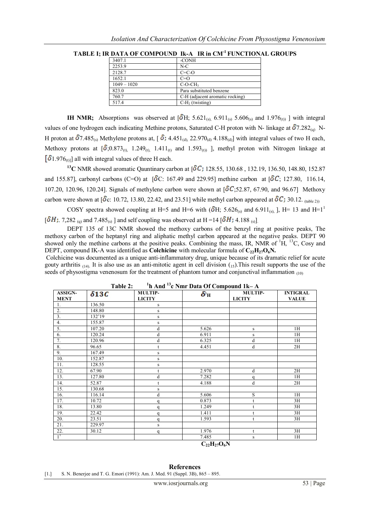| 3407.1        | -CONH                           |
|---------------|---------------------------------|
| 2253.9        | $N-C$                           |
| 2128.7        | $C=CO$                          |
| 1652.1        | $C=O$                           |
| $1049 - 1020$ | $C-O-CH3$                       |
| 823.0         | Para substituted benzene        |
| 760.7         | C-H (adjacent aromatic rocking) |
| 517.4         | $C-H2$ (twisting)               |

**TABLE I; IR DATA OF COMPOUND Ik-A IR in CM-1 FUNCTIONAL GROUPS**

**IH NMR;** Absorptions was observed at  $\left[ \delta H_s \right]$  5.621<sub>(s)</sub>, 6.911<sub>(s)</sub> 5.606<sub>(s)</sub> and 1.976<sub>(t))</sub> ] with integral values of one hydrogen each indicating Methine protons, Saturated C-H proton with N- linkage at  $\delta$ 7.282<sub>(a)</sub> N-H proton at  $\delta$ 7.485<sub>(s)</sub> Methylene protons at,  $\delta$ ; 4.451<sub>(d)</sub>, 22.970<sub>(d)</sub> 4.188<sub>(d)</sub>] with integral values of two H each, Methoxy protons at  $\left[ \delta ; 0.873_{(t)} \right]$ , 1.249<sub>(t),</sub> 1.411<sub>(t)</sub> and 1.593<sub>(t))</sub> ], methyl proton with Nitrogen linkage at  $\left[\delta 1.976_{\text{(t)}}\right]$  all with integral values of three H each.

<sup>13</sup>C NMR showed aromatic Qauntinary carbon at [ $\delta C$ ; 128.55, 130.68, 132.19, 136.50, 148.80, 152.87 and 155.87], carbonyl carbons (C=O) at  $\left[ \delta C : 167.49 \right]$  and 229.95] methine carbon at  $\left[ \delta C : 127.80, 116.14, \right]$ 107.20, 120.96, 120.24]. Signals of methylene carbon were shown at  $\lceil \delta C_{.52.87} \rceil$ , 67.90, and 96.67] Methoxy carbon were shown at  $\left[\delta_c: 10.72, 13.80, 22.42, \text{ and } 23.51\right]$  while methyl carbon appeared at  $\delta C$ ; 30.12.  $\left(t_{\text{table,2D}}\right)$ 

COSY spectra showed coupling at H=5 and H=6 with  $(\delta H; 5.626_{\text{(s)}}$  and 6.911<sub>(s),</sub> ], H= 13 and H=1<sup>1</sup>  $[\delta H; 7,282]_{(q)}$  and 7.485<sub>(s)</sub> and self coupling was observed at H =14  $[\delta H; 4.188]_{(s)}$ .

DEPT 135 of 13C NMR showed the methoxy carbons of the benzyl ring at positive peaks, The methoxy carbon of the heptanyl ring and aliphatic methyl carbon appeared at the negative peaks. DEPT 90 showed only the methine carbons at the positive peaks. Combining the mass, IR, NMR of <sup>1</sup>H, <sup>13</sup>C, Cosy and DEPT, compound IK-A was identified as **Colchicine** with molecular formula of  $C_{22}H_{27}O_6N$ .

Colchicine was documented as a unique anti-inflammatory drug, unique because of its dramatic relief for acute gouty arthritis  $_{(14)}$ . It is also use as an anti-mitotic agent in cell division  $_{(15)}$ . This result supports the use of the seeds of physostigma venenosum for the treatment of phantom tumor and conjunctival inflammation  $_{(10)}$ 

| $11$ h And $13$ c Nmr Data Of Compound 1k– A<br>Table 2: |              |                                 |                                                 |                          |                                 |  |
|----------------------------------------------------------|--------------|---------------------------------|-------------------------------------------------|--------------------------|---------------------------------|--|
| ASSIGN-<br><b>MENT</b>                                   | $\delta 13C$ | <b>MULTIP-</b><br><b>LICITY</b> | $\boldsymbol{\delta}^{\scriptscriptstyle{1}}$ H | MULTIP-<br><b>LICITY</b> | <b>INTIGRAL</b><br><b>VALUE</b> |  |
| 1.                                                       | 136.50       | S                               |                                                 |                          |                                 |  |
| 2.                                                       | 148.80       | $\,$ S                          |                                                 |                          |                                 |  |
| 3.                                                       | 132'19       | $\,$ S                          |                                                 |                          |                                 |  |
| 4.                                                       | 155.87       | $\,$ S                          |                                                 |                          |                                 |  |
| 5.                                                       | 107.20       | d                               | 5.626                                           | S                        | 1H                              |  |
| 6.                                                       | 120.24       | d                               | 6.911                                           | S                        | 1H                              |  |
| 7.                                                       | 120.96       | d                               | 6.325                                           | d                        | 1H                              |  |
| 8.                                                       | 96.65        | t                               | 4.451                                           | d                        | 2H                              |  |
| 9.                                                       | 167.49       | $\,$ S                          |                                                 |                          |                                 |  |
| 10.                                                      | 152.87       | $\,$ S                          |                                                 |                          |                                 |  |
| 11.                                                      | 128.55       | $\,$ S                          |                                                 |                          |                                 |  |
| 12.                                                      | 67.90        | t                               | 2.970                                           | d                        | 2H                              |  |
| 13.                                                      | 127.80       | d                               | 7.282                                           | a                        | 1H                              |  |
| 14.                                                      | 52.87        | $\mathbf{t}$                    | 4.188                                           | d                        | 2H                              |  |
| 15.                                                      | 130.68       | $\,$ S                          |                                                 |                          |                                 |  |
| 16.                                                      | 116.14       | d                               | 5.606                                           | S                        | 1H                              |  |
| 17.                                                      | 10.72        | q                               | 0.873                                           | t                        | 3H                              |  |
| 18.                                                      | 13.80        | q                               | 1.249                                           |                          | 3H                              |  |
| 19.                                                      | 22.42        | q                               | 1.411                                           |                          | 3H                              |  |
| 20.                                                      | 23.51        | $\mathbf q$                     | 1.593                                           | t                        | 3H                              |  |
| 21.                                                      | 229.97       | s                               |                                                 |                          |                                 |  |
| 22.                                                      | 30.12        | q                               | 1.976                                           | t                        | 3H                              |  |
| $\mathbf{1}^{\mathsf{T}}$                                |              |                                 | 7.485                                           | s                        | 1H                              |  |
|                                                          |              |                                 | $C_{22}H_{27}O_6N$                              |                          |                                 |  |

**References**